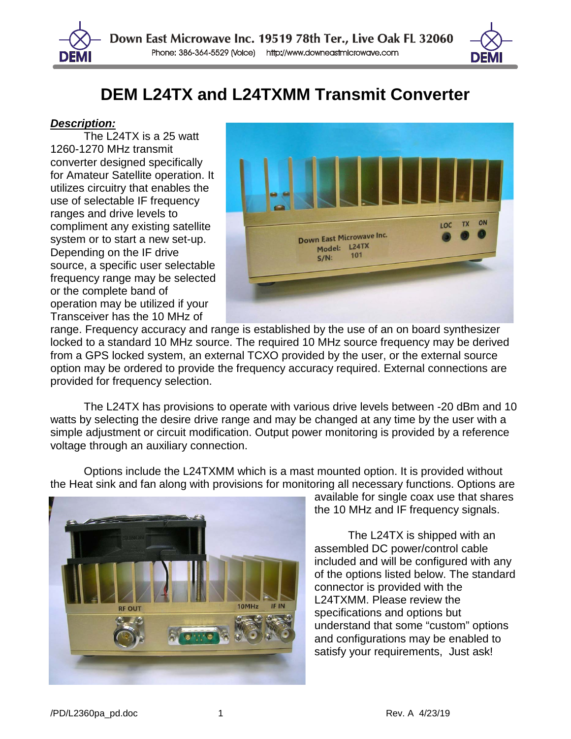

## **DEM L24TX and L24TXMM Transmit Converter**

## *Description:*

The L24TX is a  $25$  watt 1260-1270 MHz transmit converter designed specifically for Amateur Satellite operation. It utilizes circuitry that enables the use of selectable IF frequency ranges and drive levels to compliment any existing satellite system or to start a new set-up. Depending on the IF drive source, a specific user selectable frequency range may be selected or the complete band of operation may be utilized if your Transceiver has the 10 MHz of



range. Frequency accuracy and range is established by the use of an on board synthesizer locked to a standard 10 MHz source. The required 10 MHz source frequency may be derived from a GPS locked system, an external TCXO provided by the user, or the external source option may be ordered to provide the frequency accuracy required. External connections are provided for frequency selection.

The L24TX has provisions to operate with various drive levels between -20 dBm and 10 watts by selecting the desire drive range and may be changed at any time by the user with a simple adjustment or circuit modification. Output power monitoring is provided by a reference voltage through an auxiliary connection.



Options include the L24TXMM which is a mast mounted option. It is provided without the Heat sink and fan along with provisions for monitoring all necessary functions. Options are

available for single coax use that shares the 10 MHz and IF frequency signals.

The L24TX is shipped with an assembled DC power/control cable included and will be configured with any of the options listed below. The standard connector is provided with the L24TXMM. Please review the specifications and options but understand that some "custom" options and configurations may be enabled to satisfy your requirements, Just ask!